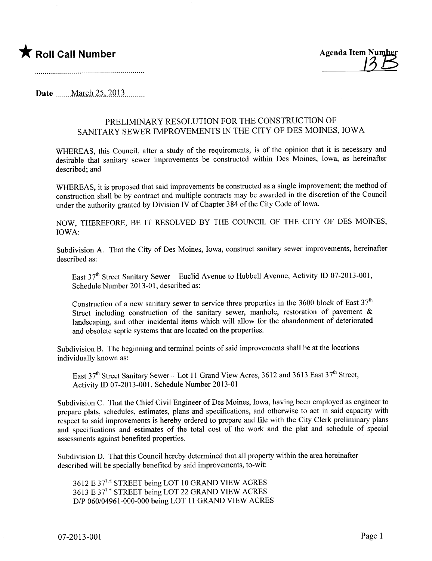

Date  $\qquad$  March 25, 2013

## PRELIMINARY RESOLUTION FOR THE CONSTRUCTION OF SANITARY SEWER IMPROVEMENTS IN THE CITY OF DES MOINES, IOWA

WHEREAS, this Council, after a study of the requirements, is of the opinion that it is necessary and desirable that sanitary sewer improvements be constructed within Des Moines, Iowa, as hereinafter described; and

WHEREAS, it is proposed that said improvements be constructed as a single improvement; the method of construction shall be by contract and multiple contracts may be awarded in the discretion of the Council under the authority granted by Division IV of Chapter 384 of the City Code of Iowa.

NOW, THEREFORE, BE IT RESOLVED BY THE COUNCIL OF THE CITY OF DES MOINES, IOWA:

Subdivision A. That the City of Des Moines, Iowa, construct sanitary sewer improvements, hereinafter described as:

East  $37<sup>th</sup>$  Street Sanitary Sewer – Euclid Avenue to Hubbell Avenue, Activity ID 07-2013-001, Schedule Number 2013-01, described as:

Construction of a new sanitary sewer to service three properties in the 3600 block of East  $37<sup>th</sup>$ Street including construction of the sanitary sewer, manhole, restoration of pavement & landscaping, and other incidental items which will allow for the abandonment of deteriorated and obsolete septic systems that are located on the properties.

Subdivision B. The beginning and terminal points of said improvements shall be at the locations individually known as:

East  $37<sup>th</sup>$  Street Sanitary Sewer - Lot 11 Grand View Acres, 3612 and 3613 East  $37<sup>th</sup>$  Street, Activity ID 07-2013-001, Schedule Number 2013-01

Subdivision C. That the Chief Civil Engineer of Des Moines, Iowa, having been employed as engineer to prepare plats, schedules, estimates, plans and specifications, and otherwise to act in said capacity with respect to said improvements is hereby ordered to prepare and file with the City Clerk preliminary plans and specifications and estimates of the total cost of the work and the plat and schedule of special assessments against benefited properties.

Subdivision D. That this Council hereby determined that all property within the area hereinafter described will be specially benefited by said improvements, to-wit:

3612 E 37TH STREET being LOT 10 GRAND VIEW ACRES 3613 E 37TH STREET being LOT 22 GRAND VIEW ACRES D/P 060/04961-000-000 being LOT 11 GRAND VIEW ACRES

07-2013-001 Page 1